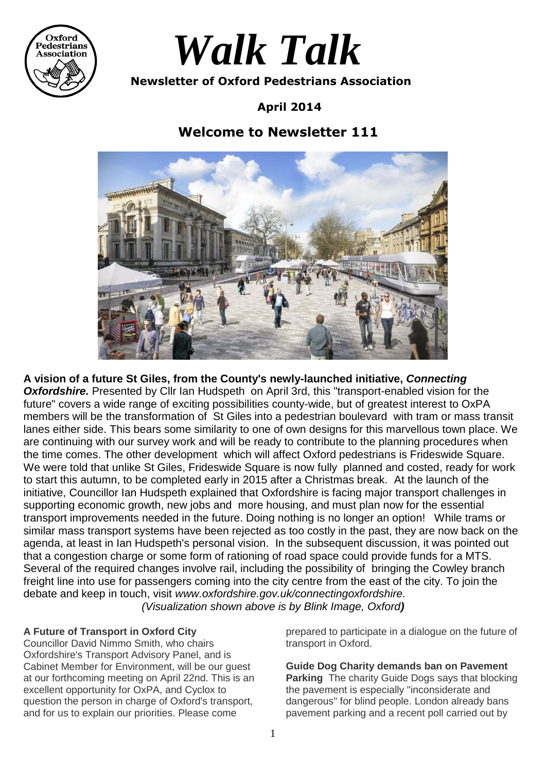

# *Walk Talk*

 **Newsletter of Oxford Pedestrians Association**

**April 2014**

# **Welcome to Newsletter 111**



**A vision of a future St Giles, from the County's newly-launched initiative,** *Connecting* **Oxfordshire.** Presented by Cllr Ian Hudspeth on April 3rd, this "transport-enabled vision for the future" covers a wide range of exciting possibilities county-wide, but of greatest interest to OxPA members will be the transformation of St Giles into a pedestrian boulevard with tram or mass transit lanes either side. This bears some similarity to one of own designs for this marvellous town place. We are continuing with our survey work and will be ready to contribute to the planning procedures when the time comes. The other development which will affect Oxford pedestrians is Frideswide Square. We were told that unlike St Giles, Frideswide Square is now fully planned and costed, ready for work to start this autumn, to be completed early in 2015 after a Christmas break. At the launch of the initiative, Councillor Ian Hudspeth explained that Oxfordshire is facing major transport challenges in supporting economic growth, new jobs and more housing, and must plan now for the essential transport improvements needed in the future. Doing nothing is no longer an option! While trams or similar mass transport systems have been rejected as too costly in the past, they are now back on the agenda, at least in Ian Hudspeth's personal vision. In the subsequent discussion, it was pointed out that a congestion charge or some form of rationing of road space could provide funds for a MTS. Several of the required changes involve rail, including the possibility of bringing the Cowley branch freight line into use for passengers coming into the city centre from the east of the city. To join the debate and keep in touch, visit *www.oxfordshire.gov.uk/connectingoxfordshire. (Visualization shown above is by Blink Image, Oxford)*

# **A Future of Transport in Oxford City**

Councillor David Nimmo Smith, who chairs Oxfordshire's Transport Advisory Panel, and is Cabinet Member for Environment, will be our guest at our forthcoming meeting on April 22nd. This is an excellent opportunity for OxPA, and Cyclox to question the person in charge of Oxford's transport, and for us to explain our priorities. Please come

prepared to participate in a dialogue on the future of transport in Oxford.

**Guide Dog Charity demands ban on Pavement Parking** The charity Guide Dogs says that blocking the pavement is especially "inconsiderate and dangerous" for blind people. London already bans pavement parking and a recent poll carried out by